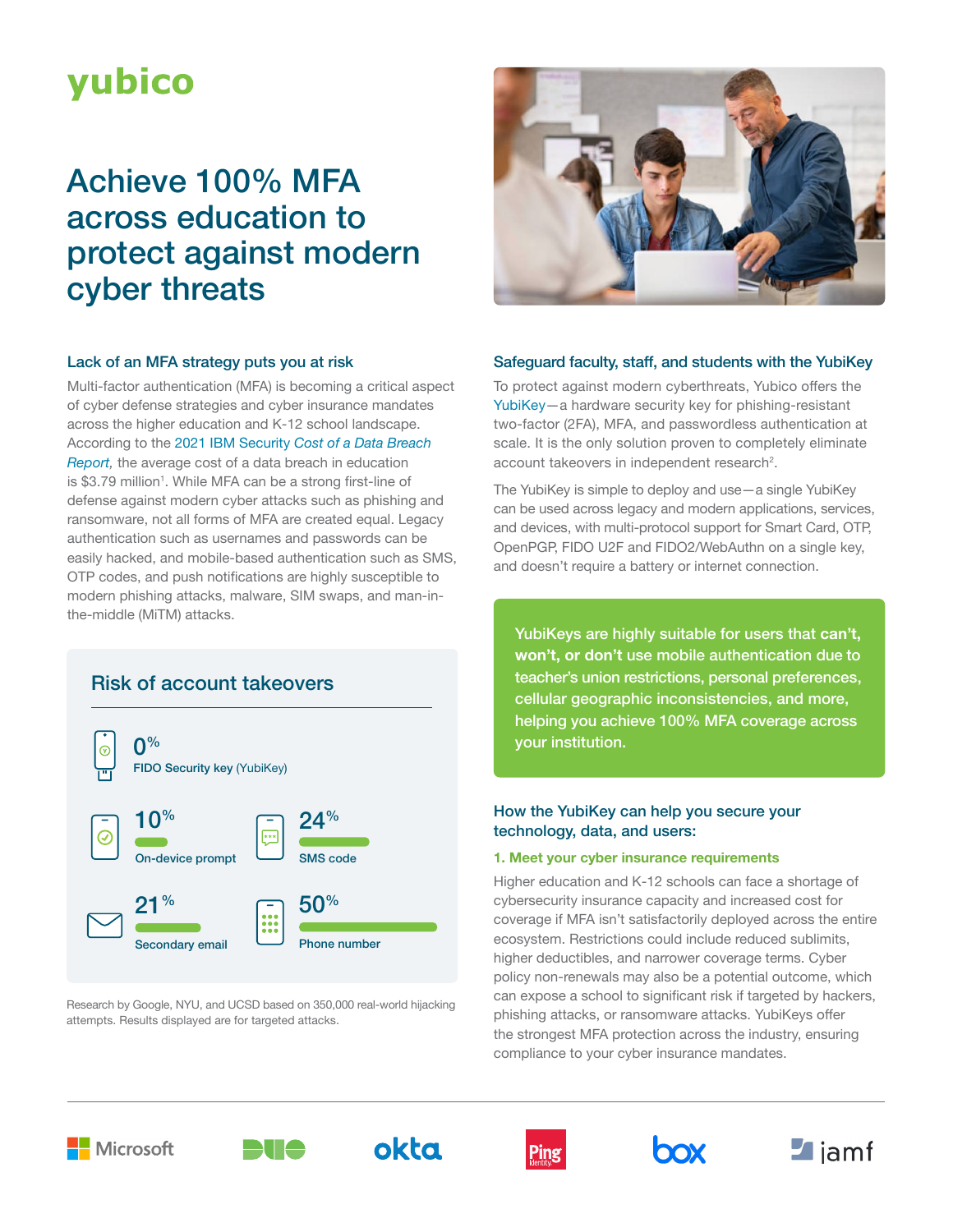# **yubico**

## Achieve 100% MFA across education to protect against modern cyber threats

#### Lack of an MFA strategy puts you at risk

Multi-factor authentication (MFA) is becoming a critical aspect of cyber defense strategies and cyber insurance mandates across the higher education and K-12 school landscape. According to the 2021 IBM Security *[Cost of a Data Breach](https://www.ibm.com/security/data-breach#:~:text=2021%20had%20the%20highest%20average,year%20history%20of%20this%20report.)  [Report,](https://www.ibm.com/security/data-breach#:~:text=2021%20had%20the%20highest%20average,year%20history%20of%20this%20report.)* the average cost of a data breach in education is \$3.79 million<sup>1</sup>. While MFA can be a strong first-line of defense against modern cyber attacks such as phishing and ransomware, not all forms of MFA are created equal. Legacy authentication such as usernames and passwords can be easily hacked, and mobile-based authentication such as SMS, OTP codes, and push notifications are highly susceptible to modern phishing attacks, malware, SIM swaps, and man-inthe-middle (MiTM) attacks.

### Risk of account takeovers



Research by Google, NYU, and UCSD based on 350,000 real-world hijacking attempts. Results displayed are for targeted attacks.



#### Safeguard faculty, staff, and students with the YubiKey

To protect against modern cyberthreats, Yubico offers the [YubiKey—](https://www.yubico.com/products/yubikey-5-overview/)a hardware security key for phishing-resistant two-factor (2FA), MFA, and passwordless authentication at scale. It is the only solution proven to completely eliminate account takeovers in independent research<sup>2</sup>.

The YubiKey is simple to deploy and use—a single YubiKey can be used across legacy and modern applications, services, and devices, with multi-protocol support for Smart Card, OTP, OpenPGP, FIDO U2F and FIDO2/WebAuthn on a single key, and doesn't require a battery or internet connection.

YubiKeys are highly suitable for users that **can't, won't, or don't** use mobile authentication due to teacher's union restrictions, personal preferences, cellular geographic inconsistencies, and more, helping you achieve 100% MFA coverage across your institution.

#### How the YubiKey can help you secure your technology, data, and users:

#### **1. Meet your cyber insurance requirements**

Higher education and K-12 schools can face a shortage of cybersecurity insurance capacity and increased cost for coverage if MFA isn't satisfactorily deployed across the entire ecosystem. Restrictions could include reduced sublimits, higher deductibles, and narrower coverage terms. Cyber policy non-renewals may also be a potential outcome, which can expose a school to significant risk if targeted by hackers, phishing attacks, or ransomware attacks. YubiKeys offer the strongest MFA protection across the industry, ensuring compliance to your cyber insurance mandates.